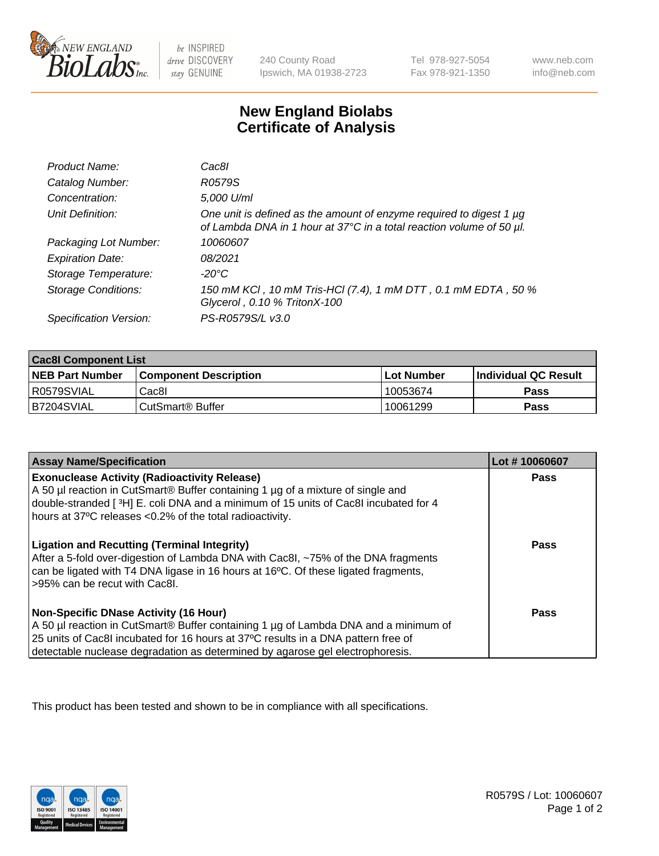

 $be$  INSPIRED drive DISCOVERY stay GENUINE

240 County Road Ipswich, MA 01938-2723 Tel 978-927-5054 Fax 978-921-1350 www.neb.com info@neb.com

## **New England Biolabs Certificate of Analysis**

| Product Name:              | Cac8l                                                                                                                                       |
|----------------------------|---------------------------------------------------------------------------------------------------------------------------------------------|
| Catalog Number:            | R0579S                                                                                                                                      |
| Concentration:             | 5,000 U/ml                                                                                                                                  |
| Unit Definition:           | One unit is defined as the amount of enzyme required to digest 1 µg<br>of Lambda DNA in 1 hour at 37°C in a total reaction volume of 50 µl. |
| Packaging Lot Number:      | 10060607                                                                                                                                    |
| <b>Expiration Date:</b>    | 08/2021                                                                                                                                     |
| Storage Temperature:       | $-20^{\circ}$ C                                                                                                                             |
| <b>Storage Conditions:</b> | 150 mM KCI, 10 mM Tris-HCI (7.4), 1 mM DTT, 0.1 mM EDTA, 50 %<br>Glycerol, 0.10 % TritonX-100                                               |
| Specification Version:     | PS-R0579S/L v3.0                                                                                                                            |

| <b>Cac8I Component List</b> |                         |             |                             |  |  |
|-----------------------------|-------------------------|-------------|-----------------------------|--|--|
| <b>NEB Part Number</b>      | l Component Description | ⊺Lot Number | <b>Individual QC Result</b> |  |  |
| I R0579SVIAL                | Cac8I                   | 10053674    | Pass                        |  |  |
| B7204SVIAL                  | l CutSmart® Buffer      | 10061299    | Pass                        |  |  |

| <b>Assay Name/Specification</b>                                                                                                                                                                                                                                                                                       | Lot #10060607 |
|-----------------------------------------------------------------------------------------------------------------------------------------------------------------------------------------------------------------------------------------------------------------------------------------------------------------------|---------------|
| <b>Exonuclease Activity (Radioactivity Release)</b><br>A 50 µl reaction in CutSmart® Buffer containing 1 µg of a mixture of single and<br>double-stranded [3H] E. coli DNA and a minimum of 15 units of Cac8I incubated for 4<br>hours at 37°C releases <0.2% of the total radioactivity.                             | Pass          |
| <b>Ligation and Recutting (Terminal Integrity)</b><br>After a 5-fold over-digestion of Lambda DNA with Cac8I, ~75% of the DNA fragments<br>can be ligated with T4 DNA ligase in 16 hours at 16°C. Of these ligated fragments,<br>>95% can be recut with Cac8I.                                                        | Pass          |
| <b>Non-Specific DNase Activity (16 Hour)</b><br>A 50 µl reaction in CutSmart <sup>®</sup> Buffer containing 1 µg of Lambda DNA and a minimum of<br>25 units of Cac8I incubated for 16 hours at 37°C results in a DNA pattern free of<br>detectable nuclease degradation as determined by agarose gel electrophoresis. | <b>Pass</b>   |

This product has been tested and shown to be in compliance with all specifications.